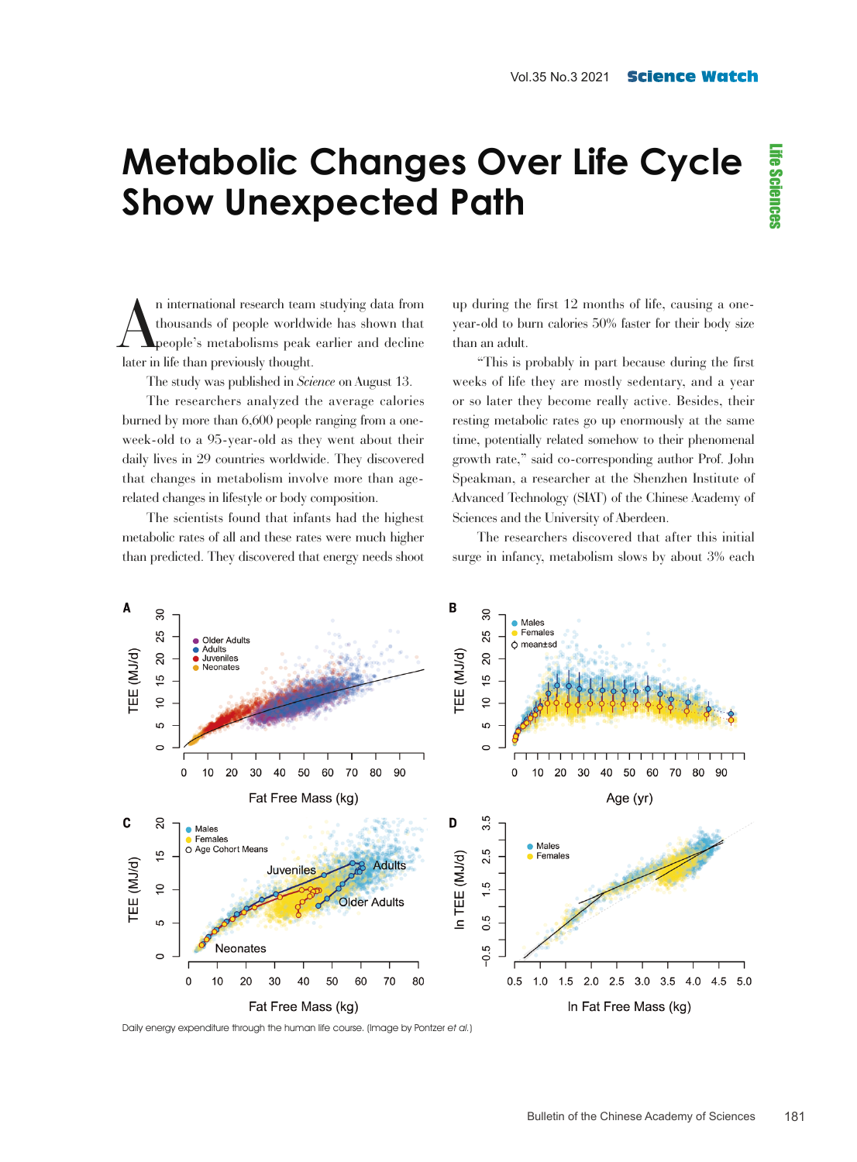## **Metabolic Changes Over Life Cycle Show Unexpected Path**

n international research team<br>thousands of people worldw<br>later in life than previously thought. n international research team studying data from thousands of people worldwide has shown that people's metabolisms peak earlier and decline

The study was published in *Science* on August 13.

The researchers analyzed the average calories burned by more than 6,600 people ranging from a oneweek-old to a 95-year-old as they went about their daily lives in 29 countries worldwide. They discovered that changes in metabolism involve more than agerelated changes in lifestyle or body composition.

The scientists found that infants had the highest metabolic rates of all and these rates were much higher than predicted. They discovered that energy needs shoot up during the first 12 months of life, causing a oneyear-old to burn calories 50% faster for their body size than an adult.

"This is probably in part because during the first weeks of life they are mostly sedentary, and a year or so later they become really active. Besides, their resting metabolic rates go up enormously at the same time, potentially related somehow to their phenomenal growth rate," said co-corresponding author Prof. John Speakman, a researcher at the Shenzhen Institute of Advanced Technology (SIAT) of the Chinese Academy of Sciences and the University of Aberdeen.

The researchers discovered that after this initial surge in infancy, metabolism slows by about 3% each



Daily energy expenditure through the human life course. (Image by Pontzer et al.)